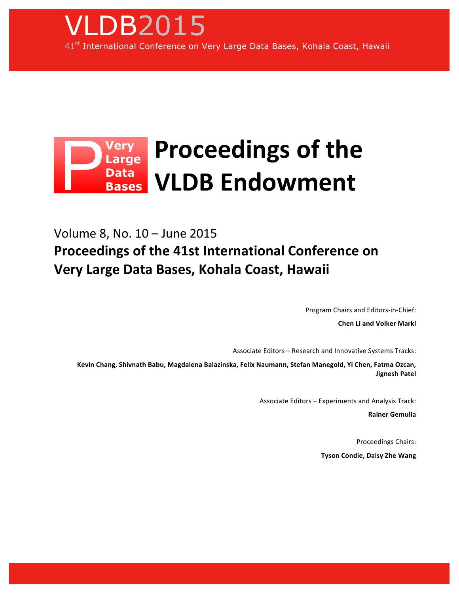

## Very Proceedings of the **Data VLDB!Endowment Bases**

Volume 8, No. 10 – June 2015 **Proceedings of the 41st International Conference on Very Large Data Bases, Kohala Coast, Hawaii** 

Program Chairs and Editors-in-Chief:

**Chen Li and Volker Markl** 

Associate Editors – Research and Innovative Systems Tracks:

Kevin Chang, Shivnath Babu, Magdalena Balazinska, Felix Naumann, Stefan Manegold, Yi Chen, Fatma Ozcan, **Jignesh!Patel**

Associate Editors – Experiments and Analysis Track:

**Rainer!Gemulla**

Proceedings Chairs: **Tyson Condie, Daisy Zhe Wang**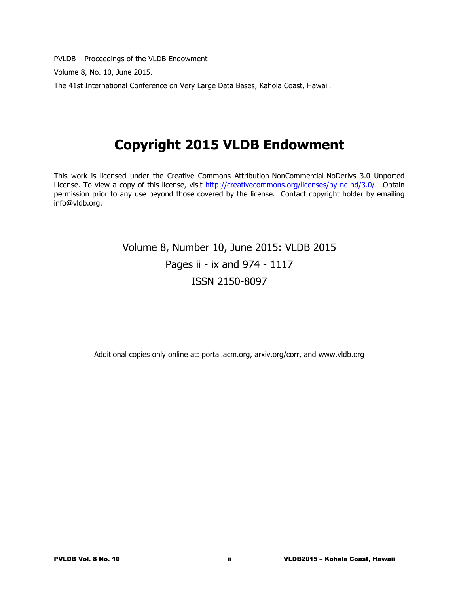PVLDB – Proceedings of the VLDB Endowment

Volume 8, No. 10, June 2015.

The 41st International Conference on Very Large Data Bases, Kahola Coast, Hawaii.

# **Copyright 2015 VLDB Endowment**

This work is licensed under the Creative Commons Attribution-NonCommercial-NoDerivs 3.0 Unported License. To view a copy of this license, visit http://creativecommons.org/licenses/by-nc-nd/3.0/. Obtain permission prior to any use beyond those covered by the license. Contact copyright holder by emailing info@vldb.org.

### Volume 8, Number 10, June 2015: VLDB 2015 Pages ii - ix and 974 - 1117 ISSN 2150-8097

Additional copies only online at: portal.acm.org, arxiv.org/corr, and www.vldb.org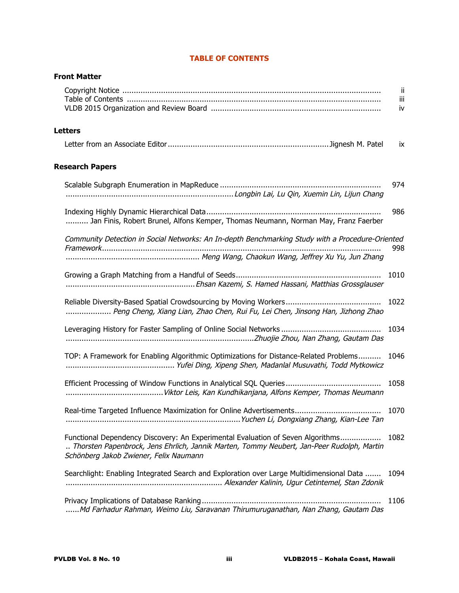| <b>Front Matter</b>                                                                                                                                                                                                    |                        |
|------------------------------------------------------------------------------------------------------------------------------------------------------------------------------------------------------------------------|------------------------|
|                                                                                                                                                                                                                        | -ii<br>Ϊİ<br><b>iv</b> |
| <b>Letters</b>                                                                                                                                                                                                         |                        |
|                                                                                                                                                                                                                        | ix                     |
| <b>Research Papers</b>                                                                                                                                                                                                 |                        |
|                                                                                                                                                                                                                        | 974                    |
| Jan Finis, Robert Brunel, Alfons Kemper, Thomas Neumann, Norman May, Franz Faerber                                                                                                                                     | 986                    |
| Community Detection in Social Networks: An In-depth Benchmarking Study with a Procedure-Oriented                                                                                                                       | 998                    |
|                                                                                                                                                                                                                        |                        |
|                                                                                                                                                                                                                        | 1010                   |
| Peng Cheng, Xiang Lian, Zhao Chen, Rui Fu, Lei Chen, Jinsong Han, Jizhong Zhao                                                                                                                                         | 1022                   |
|                                                                                                                                                                                                                        | 1034                   |
| TOP: A Framework for Enabling Algorithmic Optimizations for Distance-Related Problems                                                                                                                                  | 1046                   |
|                                                                                                                                                                                                                        | 1058                   |
|                                                                                                                                                                                                                        | 1070                   |
| Functional Dependency Discovery: An Experimental Evaluation of Seven Algorithms<br>Thorsten Papenbrock, Jens Ehrlich, Jannik Marten, Tommy Neubert, Jan-Peer Rudolph, Martin<br>Schönberg Jakob Zwiener, Felix Naumann | 1082                   |
| Searchlight: Enabling Integrated Search and Exploration over Large Multidimensional Data                                                                                                                               | 1094                   |
| Md Farhadur Rahman, Weimo Liu, Saravanan Thirumuruganathan, Nan Zhang, Gautam Das                                                                                                                                      | 1106                   |

### **TABLE OF CONTENTS**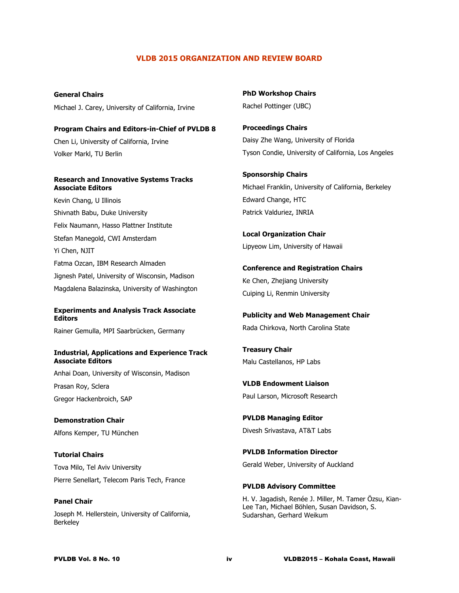#### **VLDB 2015 ORGANIZATION AND REVIEW BOARD**

**General Chairs** Michael J. Carey, University of California, Irvine

**Program Chairs and Editors-in-Chief of PVLDB 8** Chen Li, University of California, Irvine Volker Markl, TU Berlin

#### **Research and Innovative Systems Tracks Associate Editors**

Kevin Chang, U Illinois Shivnath Babu, Duke University Felix Naumann, Hasso Plattner Institute Stefan Manegold, CWI Amsterdam Yi Chen, NJIT Fatma Ozcan, IBM Research Almaden Jignesh Patel, University of Wisconsin, Madison Magdalena Balazinska, University of Washington

#### **Experiments and Analysis Track Associate Editors**

Rainer Gemulla, MPI Saarbrücken, Germany

#### **Industrial, Applications and Experience Track Associate Editors**

Anhai Doan, University of Wisconsin, Madison Prasan Roy, Sclera Gregor Hackenbroich, SAP

**Demonstration Chair** Alfons Kemper, TU München

**Tutorial Chairs** Tova Milo, Tel Aviv University Pierre Senellart, Telecom Paris Tech, France

**Panel Chair** Joseph M. Hellerstein, University of California, Berkeley

**PhD Workshop Chairs** Rachel Pottinger (UBC)

**Proceedings Chairs** Daisy Zhe Wang, University of Florida Tyson Condie, University of California, Los Angeles

**Sponsorship Chairs** Michael Franklin, University of California, Berkeley Edward Change, HTC Patrick Valduriez, INRIA

**Local Organization Chair** Lipyeow Lim, University of Hawaii

**Conference and Registration Chairs** Ke Chen, Zhejiang University Cuiping Li, Renmin University

**Publicity and Web Management Chair** Rada Chirkova, North Carolina State

**Treasury Chair** Malu Castellanos, HP Labs

**VLDB Endowment Liaison** Paul Larson, Microsoft Research

**PVLDB Managing Editor** Divesh Srivastava, AT&T Labs

**PVLDB Information Director** Gerald Weber, University of Auckland

**PVLDB Advisory Committee**

H. V. Jagadish, Renée J. Miller, M. Tamer Özsu, Kian-Lee Tan, Michael Böhlen, Susan Davidson, S. Sudarshan, Gerhard Weikum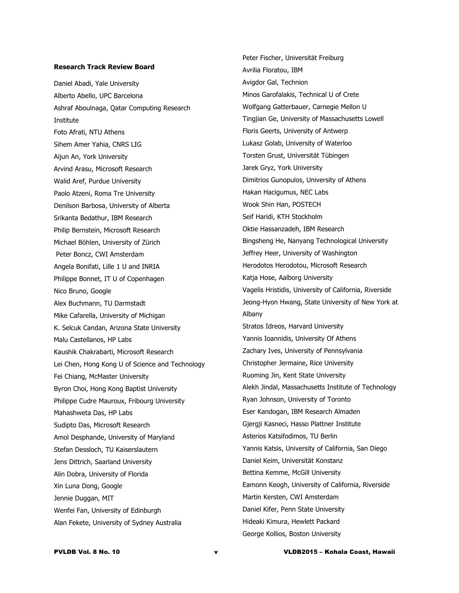#### **Research Track Review Board**

Daniel Abadi, Yale University Alberto Abello, UPC Barcelona Ashraf Aboulnaga, Qatar Computing Research Institute Foto Afrati, NTU Athens Sihem Amer Yahia, CNRS LIG Aijun An, York University Arvind Arasu, Microsoft Research Walid Aref, Purdue University Paolo Atzeni, Roma Tre University Denilson Barbosa, University of Alberta Srikanta Bedathur, IBM Research Philip Bernstein, Microsoft Research Michael Böhlen, University of Zürich Peter Boncz, CWI Amsterdam Angela Bonifati, Lille 1 U and INRIA Philippe Bonnet, IT U of Copenhagen Nico Bruno, Google Alex Buchmann, TU Darmstadt Mike Cafarella, University of Michigan K. Selcuk Candan, Arizona State University Malu Castellanos, HP Labs Kaushik Chakrabarti, Microsoft Research Lei Chen, Hong Kong U of Science and Technology Fei Chiang, McMaster University Byron Choi, Hong Kong Baptist University Philippe Cudre Mauroux, Fribourg University Mahashweta Das, HP Labs Sudipto Das, Microsoft Research Amol Desphande, University of Maryland Stefan Dessloch, TU Kaiserslautern Jens Dittrich, Saarland University Alin Dobra, University of Florida Xin Luna Dong, Google Jennie Duggan, MIT Wenfei Fan, University of Edinburgh Alan Fekete, University of Sydney Australia

Peter Fischer, Universität Freiburg Avrilia Floratou, IBM Avigdor Gal, Technion Minos Garofalakis, Technical U of Crete Wolfgang Gatterbauer, Carnegie Mellon U Tingjian Ge, University of Massachusetts Lowell Floris Geerts, University of Antwerp Lukasz Golab, University of Waterloo Torsten Grust, Universität Tübingen Jarek Gryz, York University Dimitrios Gunopulos, University of Athens Hakan Hacigumus, NEC Labs Wook Shin Han, POSTECH Seif Haridi, KTH Stockholm Oktie Hassanzadeh, IBM Research Bingsheng He, Nanyang Technological University Jeffrey Heer, University of Washington Herodotos Herodotou, Microsoft Research Katja Hose, Aalborg University Vagelis Hristidis, University of California, Riverside Jeong-Hyon Hwang, State University of New York at Albany Stratos Idreos, Harvard University Yannis Ioannidis, University Of Athens Zachary Ives, University of Pennsylvania Christopher Jermaine, Rice University Ruoming Jin, Kent State University Alekh Jindal, Massachusetts Institute of Technology Ryan Johnson, University of Toronto Eser Kandogan, IBM Research Almaden Gjergji Kasneci, Hasso Plattner Institute Asterios Katsifodimos, TU Berlin Yannis Katsis, University of California, San Diego Daniel Keim, Universität Konstanz Bettina Kemme, McGill University Eamonn Keogh, University of California, Riverside Martin Kersten, CWI Amsterdam Daniel Kifer, Penn State University Hideaki Kimura, Hewlett Packard George Kollios, Boston University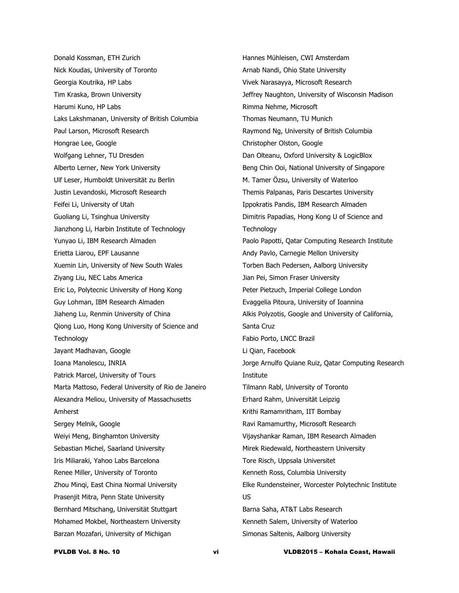Donald Kossman, ETH Zurich Nick Koudas, University of Toronto Georgia Koutrika, HP Labs Tim Kraska, Brown University Harumi Kuno, HP Labs Laks Lakshmanan, University of British Columbia Paul Larson, Microsoft Research Hongrae Lee, Google Wolfgang Lehner, TU Dresden Alberto Lerner, New York University Ulf Leser, Humboldt Universität zu Berlin Justin Levandoski, Microsoft Research Feifei Li, University of Utah Guoliang Li, Tsinghua University Jianzhong Li, Harbin Institute of Technology Yunyao Li, IBM Research Almaden Erietta Liarou, EPF Lausanne Xuemin Lin, University of New South Wales Ziyang Liu, NEC Labs America Eric Lo, Polytecnic University of Hong Kong Guy Lohman, IBM Research Almaden Jiaheng Lu, Renmin University of China Qiong Luo, Hong Kong University of Science and **Technology** Jayant Madhavan, Google Ioana Manolescu, INRIA Patrick Marcel, University of Tours Marta Mattoso, Federal University of Rio de Janeiro Alexandra Meliou, University of Massachusetts Amherst Sergey Melnik, Google Weiyi Meng, Binghamton University Sebastian Michel, Saarland University Iris Miliaraki, Yahoo Labs Barcelona Renee Miller, University of Toronto Zhou Minqi, East China Normal University Prasenjit Mitra, Penn State University Bernhard Mitschang, Universität Stuttgart Mohamed Mokbel, Northeastern University Barzan Mozafari, University of Michigan

Hannes Mühleisen, CWI Amsterdam Arnab Nandi, Ohio State University Vivek Narasayya, Microsoft Research Jeffrey Naughton, University of Wisconsin Madison Rimma Nehme, Microsoft Thomas Neumann, TU Munich Raymond Ng, University of British Columbia Christopher Olston, Google Dan Olteanu, Oxford University & LogicBlox Beng Chin Ooi, National University of Singapore M. Tamer Özsu, University of Waterloo Themis Palpanas, Paris Descartes University Ippokratis Pandis, IBM Research Almaden Dimitris Papadias, Hong Kong U of Science and **Technology** Paolo Papotti, Qatar Computing Research Institute Andy Pavlo, Carnegie Mellon University Torben Bach Pedersen, Aalborg University Jian Pei, Simon Fraser University Peter Pietzuch, Imperial College London Evaggelia Pitoura, University of Ioannina Alkis Polyzotis, Google and University of California, Santa Cruz Fabio Porto, LNCC Brazil Li Qian, Facebook Jorge Arnulfo Quiane Ruiz, Qatar Computing Research Institute Tilmann Rabl, University of Toronto Erhard Rahm, Universität Leipzig Krithi Ramamritham, IIT Bombay Ravi Ramamurthy, Microsoft Research Vijayshankar Raman, IBM Research Almaden Mirek Riedewald, Northeastern University Tore Risch, Uppsala Universitet Kenneth Ross, Columbia University Elke Rundensteiner, Worcester Polytechnic Institute US Barna Saha, AT&T Labs Research Kenneth Salem, University of Waterloo Simonas Saltenis, Aalborg University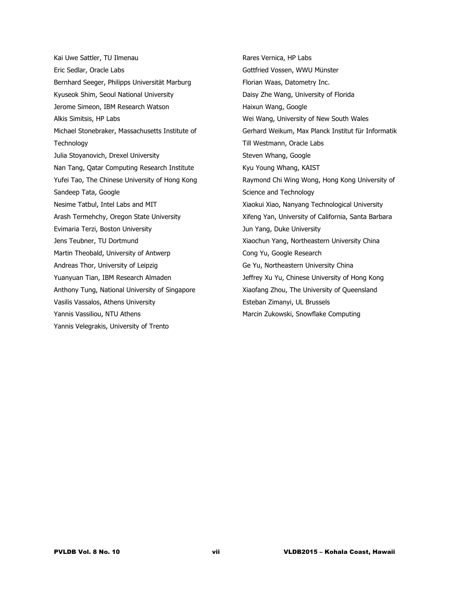Kai Uwe Sattler, TU Ilmenau Eric Sedlar, Oracle Labs Bernhard Seeger, Philipps Universität Marburg Kyuseok Shim, Seoul National University Jerome Simeon, IBM Research Watson Alkis Simitsis, HP Labs Michael Stonebraker, Massachusetts Institute of **Technology** Julia Stoyanovich, Drexel University Nan Tang, Qatar Computing Research Institute Yufei Tao, The Chinese University of Hong Kong Sandeep Tata, Google Nesime Tatbul, Intel Labs and MIT Arash Termehchy, Oregon State University Evimaria Terzi, Boston University Jens Teubner, TU Dortmund Martin Theobald, University of Antwerp Andreas Thor, University of Leipzig Yuanyuan Tian, IBM Research Almaden Anthony Tung, National University of Singapore Vasilis Vassalos, Athens University Yannis Vassiliou, NTU Athens Yannis Velegrakis, University of Trento

Rares Vernica, HP Labs Gottfried Vossen, WWU Münster Florian Waas, Datometry Inc. Daisy Zhe Wang, University of Florida Haixun Wang, Google Wei Wang, University of New South Wales Gerhard Weikum, Max Planck Institut für Informatik Till Westmann, Oracle Labs Steven Whang, Google Kyu Young Whang, KAIST Raymond Chi Wing Wong, Hong Kong University of Science and Technology Xiaokui Xiao, Nanyang Technological University Xifeng Yan, University of California, Santa Barbara Jun Yang, Duke University Xiaochun Yang, Northeastern University China Cong Yu, Google Research Ge Yu, Northeastern University China Jeffrey Xu Yu, Chinese University of Hong Kong Xiaofang Zhou, The University of Queensland Esteban Zimanyi, UL Brussels Marcin Zukowski, Snowflake Computing